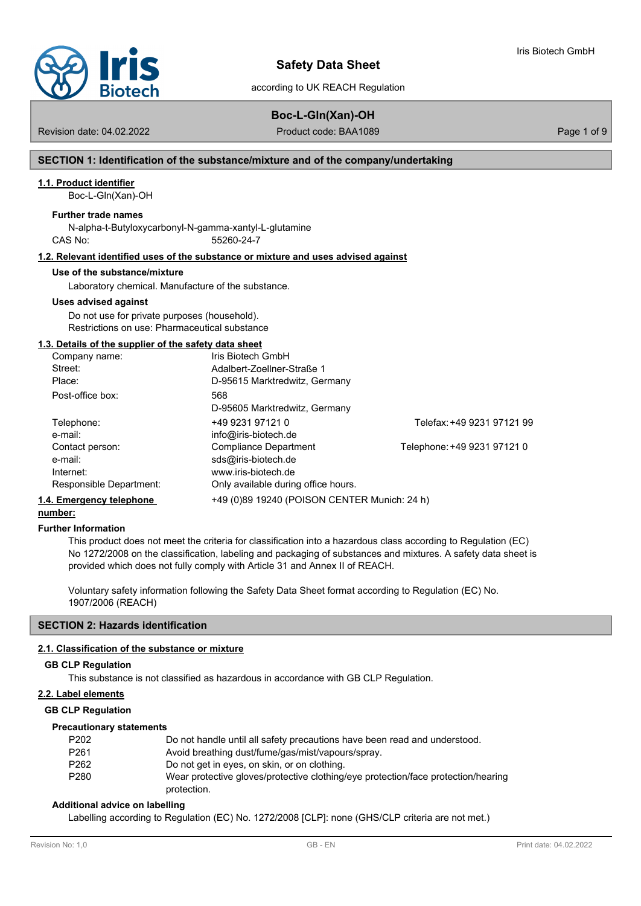

# **Boc-L-Gln(Xan)-OH**

Revision date: 04.02.2022 **Product code: BAA1089** Page 1 of 9

Iris Biotech GmbH

### **SECTION 1: Identification of the substance/mixture and of the company/undertaking**

#### **1.1. Product identifier**

Boc-L-Gln(Xan)-OH

#### **Further trade names**

N-alpha-t-Butyloxycarbonyl-N-gamma-xantyl-L-glutamine CAS No: 55260-24-7

#### **1.2. Relevant identified uses of the substance or mixture and uses advised against**

#### **Use of the substance/mixture**

Laboratory chemical. Manufacture of the substance.

#### **Uses advised against**

Do not use for private purposes (household). Restrictions on use: Pharmaceutical substance

#### **1.3. Details of the supplier of the safety data sheet**

| Company name:            | Iris Biotech GmbH                            |                             |
|--------------------------|----------------------------------------------|-----------------------------|
| Street:                  | Adalbert-Zoellner-Straße 1                   |                             |
| Place:                   | D-95615 Marktredwitz, Germany                |                             |
| Post-office box:         | 568                                          |                             |
|                          | D-95605 Marktredwitz, Germany                |                             |
| Telephone:               | +49 9231 97121 0                             | Telefax: +49 9231 97121 99  |
| e-mail:                  | info@iris-biotech.de                         |                             |
| Contact person:          | Compliance Department                        | Telephone: +49 9231 97121 0 |
| e-mail:                  | sds@iris-biotech.de                          |                             |
| Internet:                | www.iris-biotech.de                          |                             |
| Responsible Department:  | Only available during office hours.          |                             |
| 1.4. Emergency telephone | +49 (0)89 19240 (POISON CENTER Munich: 24 h) |                             |

# **number:**

#### **Further Information**

This product does not meet the criteria for classification into a hazardous class according to Regulation (EC) No 1272/2008 on the classification, labeling and packaging of substances and mixtures. A safety data sheet is provided which does not fully comply with Article 31 and Annex II of REACH.

Voluntary safety information following the Safety Data Sheet format according to Regulation (EC) No. 1907/2006 (REACH)

## **SECTION 2: Hazards identification**

#### **2.1. Classification of the substance or mixture**

#### **GB CLP Regulation**

This substance is not classified as hazardous in accordance with GB CLP Regulation.

## **2.2. Label elements**

#### **GB CLP Regulation**

#### **Precautionary statements**

| P202 | Do not handle until all safety precautions have been read and understood.                        |
|------|--------------------------------------------------------------------------------------------------|
| P261 | Avoid breathing dust/fume/gas/mist/vapours/spray.                                                |
| P262 | Do not get in eyes, on skin, or on clothing.                                                     |
| P280 | Wear protective gloves/protective clothing/eye protection/face protection/hearing<br>protection. |

#### **Additional advice on labelling**

Labelling according to Regulation (EC) No. 1272/2008 [CLP]: none (GHS/CLP criteria are not met.)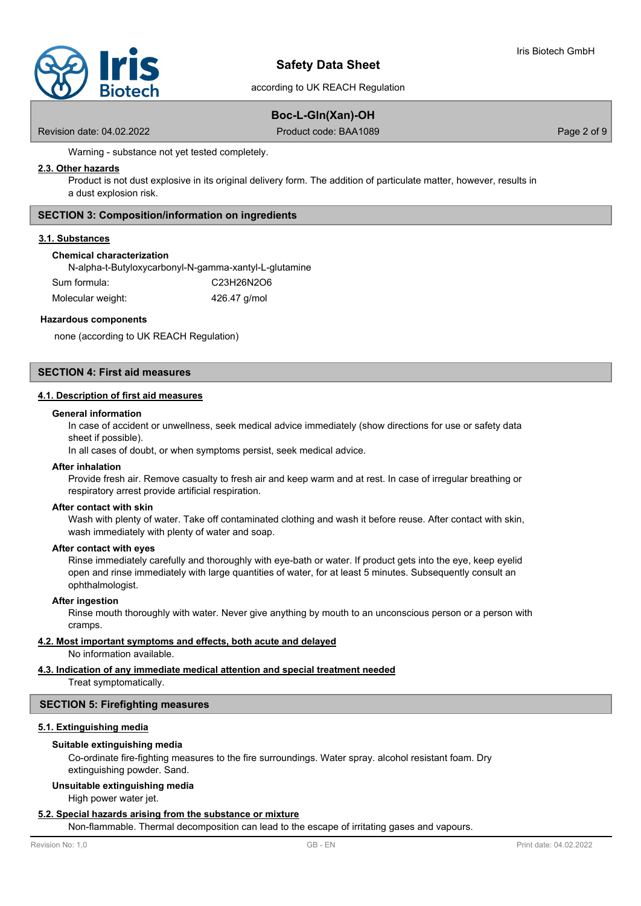

# **Boc-L-Gln(Xan)-OH**

Revision date: 04.02.2022 **Product code: BAA1089** Page 2 of 9

Warning - substance not yet tested completely.

#### **2.3. Other hazards**

Product is not dust explosive in its original delivery form. The addition of particulate matter, however, results in a dust explosion risk.

#### **SECTION 3: Composition/information on ingredients**

#### **3.1. Substances**

#### **Chemical characterization**

N-alpha-t-Butyloxycarbonyl-N-gamma-xantyl-L-glutamine Sum formula: C23H26N2O6

| Molecular weight: | 426.47 g/mol |
|-------------------|--------------|
|                   |              |

#### **Hazardous components**

none (according to UK REACH Regulation)

## **SECTION 4: First aid measures**

#### **4.1. Description of first aid measures**

#### **General information**

In case of accident or unwellness, seek medical advice immediately (show directions for use or safety data sheet if possible).

In all cases of doubt, or when symptoms persist, seek medical advice.

#### **After inhalation**

Provide fresh air. Remove casualty to fresh air and keep warm and at rest. In case of irregular breathing or respiratory arrest provide artificial respiration.

#### **After contact with skin**

Wash with plenty of water. Take off contaminated clothing and wash it before reuse. After contact with skin, wash immediately with plenty of water and soap.

#### **After contact with eyes**

Rinse immediately carefully and thoroughly with eye-bath or water. If product gets into the eye, keep eyelid open and rinse immediately with large quantities of water, for at least 5 minutes. Subsequently consult an ophthalmologist.

#### **After ingestion**

Rinse mouth thoroughly with water. Never give anything by mouth to an unconscious person or a person with cramps.

#### **4.2. Most important symptoms and effects, both acute and delayed**

No information available.

#### **4.3. Indication of any immediate medical attention and special treatment needed**

Treat symptomatically.

#### **SECTION 5: Firefighting measures**

#### **5.1. Extinguishing media**

#### **Suitable extinguishing media**

Co-ordinate fire-fighting measures to the fire surroundings. Water spray. alcohol resistant foam. Dry extinguishing powder. Sand.

### **Unsuitable extinguishing media**

High power water jet.

#### **5.2. Special hazards arising from the substance or mixture**

Non-flammable. Thermal decomposition can lead to the escape of irritating gases and vapours.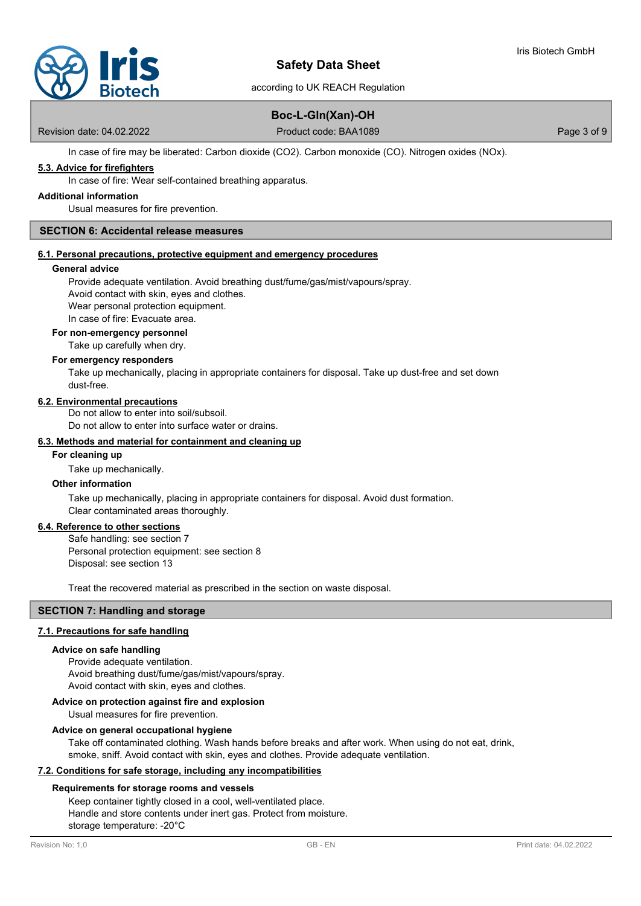

according to UK REACH Regulation

# **Boc-L-Gln(Xan)-OH**

Revision date: 04.02.2022 **Product code: BAA1089** Page 3 of 9

In case of fire may be liberated: Carbon dioxide (CO2). Carbon monoxide (CO). Nitrogen oxides (NOx).

# **5.3. Advice for firefighters**

In case of fire: Wear self-contained breathing apparatus.

#### **Additional information**

Usual measures for fire prevention.

#### **SECTION 6: Accidental release measures**

#### **6.1. Personal precautions, protective equipment and emergency procedures**

#### **General advice**

Provide adequate ventilation. Avoid breathing dust/fume/gas/mist/vapours/spray.

Avoid contact with skin, eyes and clothes.

Wear personal protection equipment.

In case of fire: Evacuate area.

# **For non-emergency personnel**

Take up carefully when dry.

#### **For emergency responders**

Take up mechanically, placing in appropriate containers for disposal. Take up dust-free and set down dust-free.

#### **6.2. Environmental precautions**

Do not allow to enter into soil/subsoil. Do not allow to enter into surface water or drains.

#### **6.3. Methods and material for containment and cleaning up**

#### **For cleaning up**

Take up mechanically.

# **Other information**

Take up mechanically, placing in appropriate containers for disposal. Avoid dust formation. Clear contaminated areas thoroughly.

#### **6.4. Reference to other sections**

Safe handling: see section 7 Personal protection equipment: see section 8 Disposal: see section 13

Treat the recovered material as prescribed in the section on waste disposal.

## **SECTION 7: Handling and storage**

#### **7.1. Precautions for safe handling**

#### **Advice on safe handling**

Provide adequate ventilation. Avoid breathing dust/fume/gas/mist/vapours/spray. Avoid contact with skin, eyes and clothes.

### **Advice on protection against fire and explosion**

Usual measures for fire prevention.

#### **Advice on general occupational hygiene**

Take off contaminated clothing. Wash hands before breaks and after work. When using do not eat, drink, smoke, sniff. Avoid contact with skin, eyes and clothes. Provide adequate ventilation.

#### **7.2. Conditions for safe storage, including any incompatibilities**

#### **Requirements for storage rooms and vessels**

Keep container tightly closed in a cool, well-ventilated place. Handle and store contents under inert gas. Protect from moisture. storage temperature: -20°C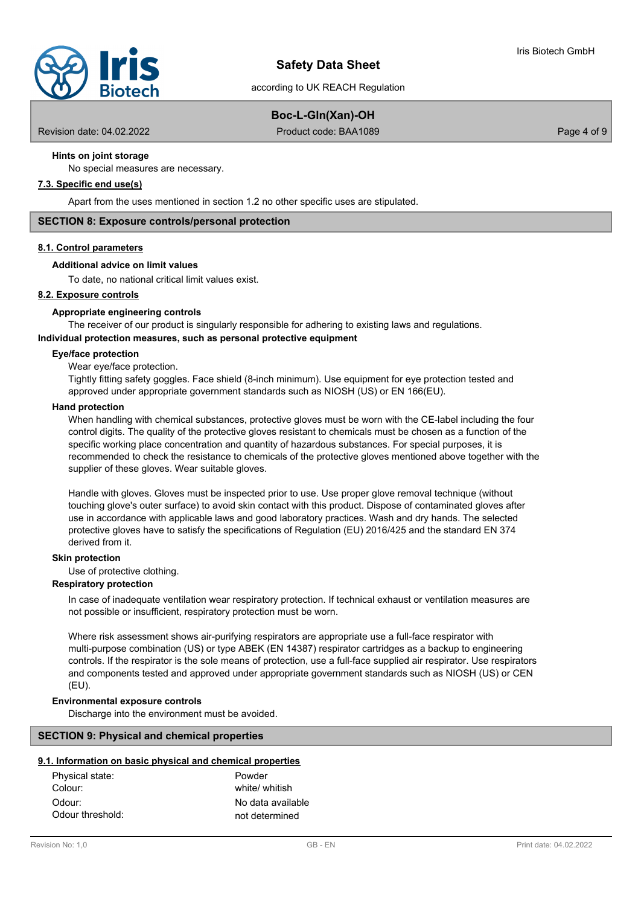

# **Boc-L-Gln(Xan)-OH**

according to UK REACH Regulation

Revision date: 04.02.2022 **Product code: BAA1089** Page 4 of 9

## **Hints on joint storage**

No special measures are necessary.

# **7.3. Specific end use(s)**

Apart from the uses mentioned in section 1.2 no other specific uses are stipulated.

#### **SECTION 8: Exposure controls/personal protection**

#### **8.1. Control parameters**

#### **Additional advice on limit values**

To date, no national critical limit values exist.

#### **8.2. Exposure controls**

#### **Appropriate engineering controls**

The receiver of our product is singularly responsible for adhering to existing laws and regulations.

# **Individual protection measures, such as personal protective equipment**

# **Eye/face protection**

Wear eye/face protection.

Tightly fitting safety goggles. Face shield (8-inch minimum). Use equipment for eye protection tested and approved under appropriate government standards such as NIOSH (US) or EN 166(EU).

#### **Hand protection**

When handling with chemical substances, protective gloves must be worn with the CE-label including the four control digits. The quality of the protective gloves resistant to chemicals must be chosen as a function of the specific working place concentration and quantity of hazardous substances. For special purposes, it is recommended to check the resistance to chemicals of the protective gloves mentioned above together with the supplier of these gloves. Wear suitable gloves.

Handle with gloves. Gloves must be inspected prior to use. Use proper glove removal technique (without touching glove's outer surface) to avoid skin contact with this product. Dispose of contaminated gloves after use in accordance with applicable laws and good laboratory practices. Wash and dry hands. The selected protective gloves have to satisfy the specifications of Regulation (EU) 2016/425 and the standard EN 374 derived from it.

#### **Skin protection**

Use of protective clothing.

# **Respiratory protection**

In case of inadequate ventilation wear respiratory protection. If technical exhaust or ventilation measures are not possible or insufficient, respiratory protection must be worn.

Where risk assessment shows air-purifying respirators are appropriate use a full-face respirator with multi-purpose combination (US) or type ABEK (EN 14387) respirator cartridges as a backup to engineering controls. If the respirator is the sole means of protection, use a full-face supplied air respirator. Use respirators and components tested and approved under appropriate government standards such as NIOSH (US) or CEN (EU).

#### **Environmental exposure controls**

Discharge into the environment must be avoided.

#### **SECTION 9: Physical and chemical properties**

#### **9.1. Information on basic physical and chemical properties**

| Physical state:  | Powder            |
|------------------|-------------------|
| Colour:          | white/ whitish    |
| Odour:           | No data available |
| Odour threshold: | not determined    |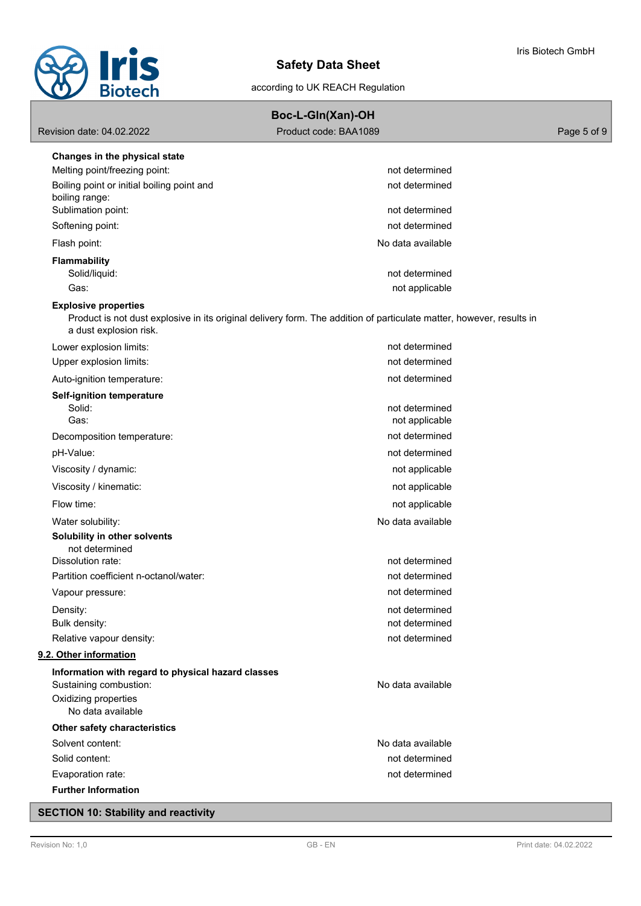

| Boc-L-GIn(Xan)-OH |  |
|-------------------|--|
|-------------------|--|

Revision date: 04.02.2022 **Product code: BAA1089** Page 5 of 9

| Changes in the physical state                                                                                                                                                 |                                  |
|-------------------------------------------------------------------------------------------------------------------------------------------------------------------------------|----------------------------------|
| Melting point/freezing point:                                                                                                                                                 | not determined                   |
| Boiling point or initial boiling point and                                                                                                                                    | not determined                   |
| boiling range:<br>Sublimation point:                                                                                                                                          | not determined                   |
| Softening point:                                                                                                                                                              | not determined                   |
| Flash point:                                                                                                                                                                  | No data available                |
|                                                                                                                                                                               |                                  |
| <b>Flammability</b><br>Solid/liquid:                                                                                                                                          | not determined                   |
| Gas:                                                                                                                                                                          | not applicable                   |
| <b>Explosive properties</b><br>Product is not dust explosive in its original delivery form. The addition of particulate matter, however, results in<br>a dust explosion risk. |                                  |
| Lower explosion limits:                                                                                                                                                       | not determined                   |
| Upper explosion limits:                                                                                                                                                       | not determined                   |
| Auto-ignition temperature:                                                                                                                                                    | not determined                   |
| <b>Self-ignition temperature</b>                                                                                                                                              |                                  |
| Solid:<br>Gas:                                                                                                                                                                | not determined<br>not applicable |
| Decomposition temperature:                                                                                                                                                    | not determined                   |
| pH-Value:                                                                                                                                                                     | not determined                   |
| Viscosity / dynamic:                                                                                                                                                          | not applicable                   |
| Viscosity / kinematic:                                                                                                                                                        |                                  |
|                                                                                                                                                                               | not applicable                   |
| Flow time:                                                                                                                                                                    | not applicable                   |
| Water solubility:                                                                                                                                                             | No data available                |
| Solubility in other solvents<br>not determined                                                                                                                                |                                  |
| Dissolution rate:                                                                                                                                                             | not determined                   |
| Partition coefficient n-octanol/water:                                                                                                                                        | not determined                   |
| Vapour pressure:                                                                                                                                                              | not determined                   |
| Density:                                                                                                                                                                      | not determined                   |
| Bulk density:                                                                                                                                                                 | not determined                   |
| Relative vapour density:                                                                                                                                                      | not determined                   |
| 9.2. Other information                                                                                                                                                        |                                  |
| Information with regard to physical hazard classes<br>Sustaining combustion:                                                                                                  | No data available                |
| Oxidizing properties                                                                                                                                                          |                                  |
| No data available                                                                                                                                                             |                                  |
| Other safety characteristics                                                                                                                                                  |                                  |
| Solvent content:                                                                                                                                                              | No data available                |
| Solid content:                                                                                                                                                                | not determined                   |
| Evaporation rate:                                                                                                                                                             | not determined                   |
| <b>Further Information</b>                                                                                                                                                    |                                  |

# **SECTION 10: Stability and reactivity**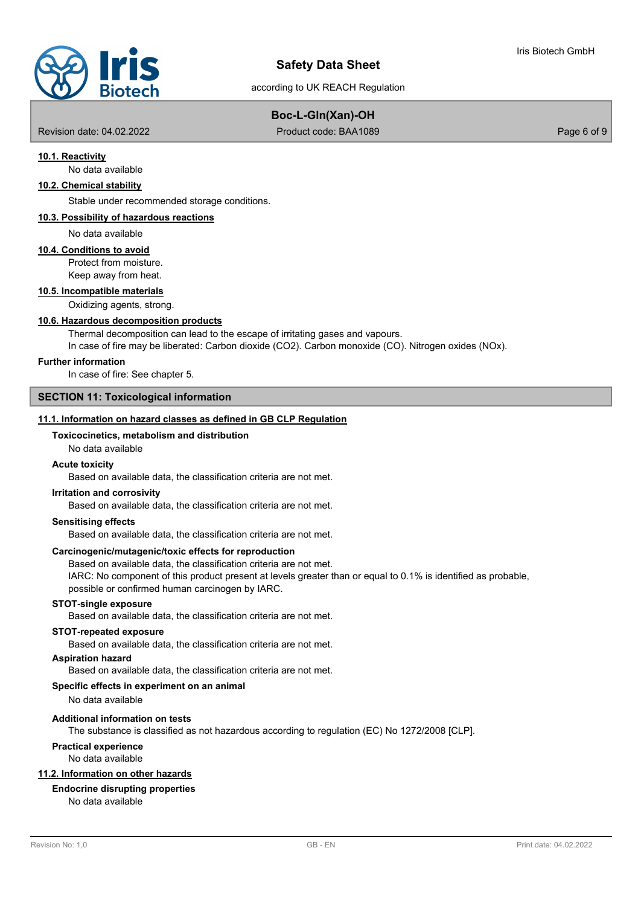

according to UK REACH Regulation

# **Boc-L-Gln(Xan)-OH**

Revision date: 04.02.2022 **Product code: BAA1089** Page 6 of 9

### **10.1. Reactivity**

No data available

# **10.2. Chemical stability**

Stable under recommended storage conditions.

#### **10.3. Possibility of hazardous reactions**

No data available

#### **10.4. Conditions to avoid**

Protect from moisture. Keep away from heat.

#### **10.5. Incompatible materials**

Oxidizing agents, strong.

#### **10.6. Hazardous decomposition products**

Thermal decomposition can lead to the escape of irritating gases and vapours.

In case of fire may be liberated: Carbon dioxide (CO2). Carbon monoxide (CO). Nitrogen oxides (NOx).

#### **Further information**

In case of fire: See chapter 5.

### **SECTION 11: Toxicological information**

#### **11.1. Information on hazard classes as defined in GB CLP Regulation**

# **Toxicocinetics, metabolism and distribution**

### No data available

#### **Acute toxicity**

Based on available data, the classification criteria are not met.

#### **Irritation and corrosivity**

Based on available data, the classification criteria are not met.

#### **Sensitising effects**

Based on available data, the classification criteria are not met.

#### **Carcinogenic/mutagenic/toxic effects for reproduction**

Based on available data, the classification criteria are not met.

IARC: No component of this product present at levels greater than or equal to 0.1% is identified as probable, possible or confirmed human carcinogen by IARC.

#### **STOT-single exposure**

Based on available data, the classification criteria are not met.

#### **STOT-repeated exposure**

Based on available data, the classification criteria are not met.

#### **Aspiration hazard**

Based on available data, the classification criteria are not met.

#### **Specific effects in experiment on an animal**

No data available

#### **Additional information on tests**

The substance is classified as not hazardous according to regulation (EC) No 1272/2008 [CLP].

# **Practical experience**

No data available

#### **11.2. Information on other hazards**

# **Endocrine disrupting properties**

No data available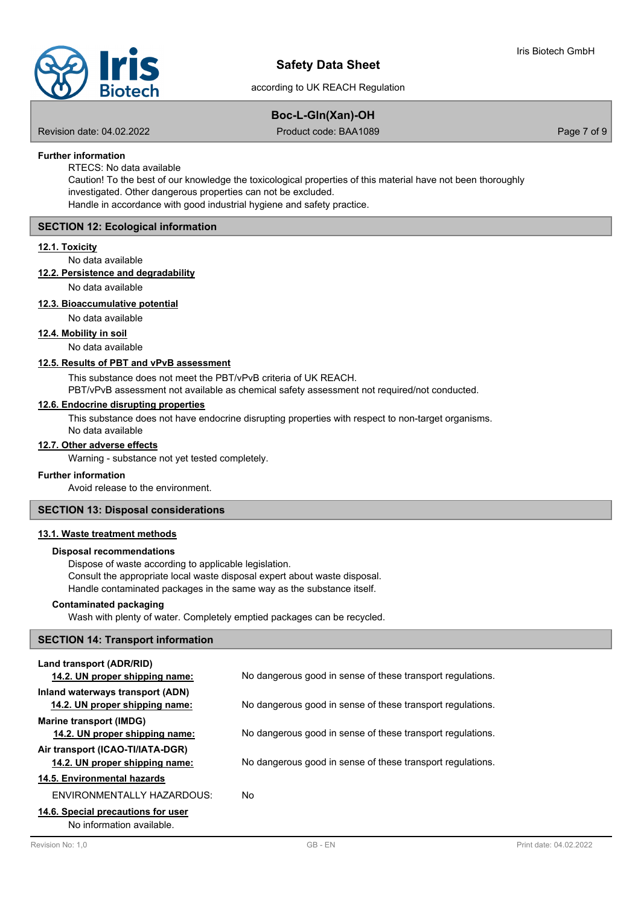

# **Boc-L-Gln(Xan)-OH**

Revision date: 04.02.2022 **Product code: BAA1089** Page 7 of 9

# **Further information**

RTECS: No data available

Caution! To the best of our knowledge the toxicological properties of this material have not been thoroughly investigated. Other dangerous properties can not be excluded. Handle in accordance with good industrial hygiene and safety practice.

## **SECTION 12: Ecological information**

#### **12.1. Toxicity**

No data available

**12.2. Persistence and degradability**

No data available

## **12.3. Bioaccumulative potential**

#### No data available

**12.4. Mobility in soil**

No data available

#### **12.5. Results of PBT and vPvB assessment**

This substance does not meet the PBT/vPvB criteria of UK REACH.

PBT/vPvB assessment not available as chemical safety assessment not required/not conducted.

#### **12.6. Endocrine disrupting properties**

This substance does not have endocrine disrupting properties with respect to non-target organisms.

### No data available

#### **12.7. Other adverse effects**

Warning - substance not yet tested completely.

#### **Further information**

Avoid release to the environment.

# **SECTION 13: Disposal considerations**

# **13.1. Waste treatment methods**

#### **Disposal recommendations**

Dispose of waste according to applicable legislation. Consult the appropriate local waste disposal expert about waste disposal. Handle contaminated packages in the same way as the substance itself.

#### **Contaminated packaging**

Wash with plenty of water. Completely emptied packages can be recycled.

#### **SECTION 14: Transport information**

| Land transport (ADR/RID)<br>14.2. UN proper shipping name:         | No dangerous good in sense of these transport regulations. |
|--------------------------------------------------------------------|------------------------------------------------------------|
| Inland waterways transport (ADN)<br>14.2. UN proper shipping name: | No dangerous good in sense of these transport regulations. |
| <b>Marine transport (IMDG)</b><br>14.2. UN proper shipping name:   | No dangerous good in sense of these transport regulations. |
| Air transport (ICAO-TI/IATA-DGR)<br>14.2. UN proper shipping name: | No dangerous good in sense of these transport regulations. |
| 14.5. Environmental hazards                                        |                                                            |
| ENVIRONMENTALLY HAZARDOUS:                                         | No.                                                        |
| 14.6. Special precautions for user<br>No information available     |                                                            |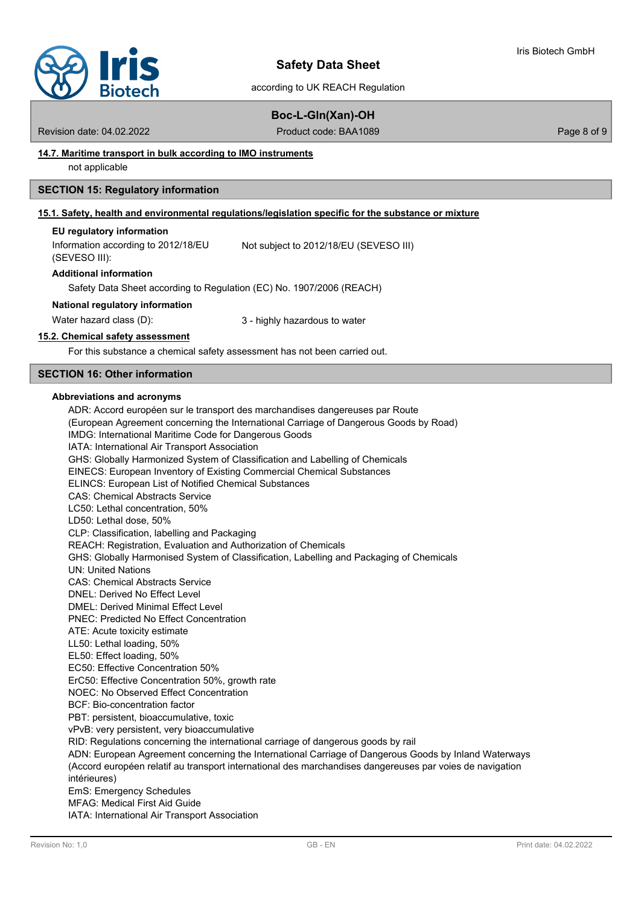

according to UK REACH Regulation

# **Boc-L-Gln(Xan)-OH**

Revision date: 04.02.2022 **Product code: BAA1089** Page 8 of 9

### **14.7. Maritime transport in bulk according to IMO instruments**

not applicable

#### **SECTION 15: Regulatory information**

#### **15.1. Safety, health and environmental regulations/legislation specific for the substance or mixture**

#### **EU regulatory information**

Information according to 2012/18/EU (SEVESO III): Not subject to 2012/18/EU (SEVESO III)

#### **Additional information**

Safety Data Sheet according to Regulation (EC) No. 1907/2006 (REACH)

#### **National regulatory information**

Water hazard class (D):  $\qquad \qquad 3$  - highly hazardous to water

#### **15.2. Chemical safety assessment**

For this substance a chemical safety assessment has not been carried out.

# **SECTION 16: Other information**

#### **Abbreviations and acronyms**

ADR: Accord européen sur le transport des marchandises dangereuses par Route (European Agreement concerning the International Carriage of Dangerous Goods by Road) IMDG: International Maritime Code for Dangerous Goods IATA: International Air Transport Association GHS: Globally Harmonized System of Classification and Labelling of Chemicals EINECS: European Inventory of Existing Commercial Chemical Substances ELINCS: European List of Notified Chemical Substances CAS: Chemical Abstracts Service LC50: Lethal concentration, 50% LD50: Lethal dose, 50% CLP: Classification, labelling and Packaging REACH: Registration, Evaluation and Authorization of Chemicals GHS: Globally Harmonised System of Classification, Labelling and Packaging of Chemicals UN: United Nations CAS: Chemical Abstracts Service DNEL: Derived No Effect Level DMEL: Derived Minimal Effect Level PNEC: Predicted No Effect Concentration ATE: Acute toxicity estimate LL50: Lethal loading, 50% EL50: Effect loading, 50% EC50: Effective Concentration 50% ErC50: Effective Concentration 50%, growth rate NOEC: No Observed Effect Concentration BCF: Bio-concentration factor PBT: persistent, bioaccumulative, toxic vPvB: very persistent, very bioaccumulative RID: Regulations concerning the international carriage of dangerous goods by rail ADN: European Agreement concerning the International Carriage of Dangerous Goods by Inland Waterways (Accord européen relatif au transport international des marchandises dangereuses par voies de navigation intérieures) EmS: Emergency Schedules MFAG: Medical First Aid Guide IATA: International Air Transport Association